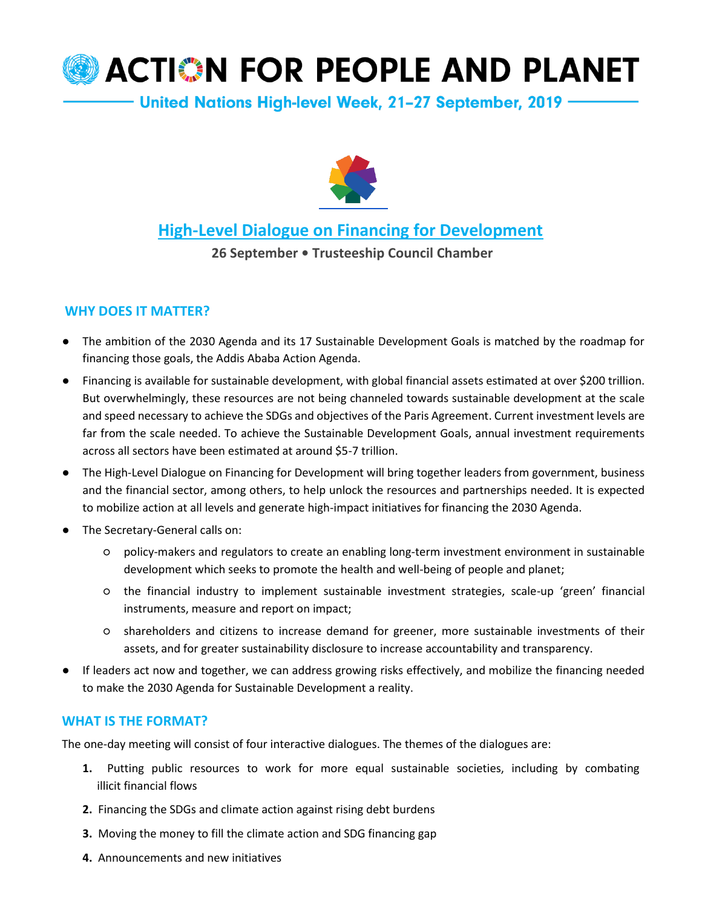# **ACTION FOR PEOPLE AND PLANET**

United Nations High-level Week, 21-27 September, 2019



### **[High-Level Dialogue on Financing for Development](http://www.un.org/esa/ffd/ffddialogue)**

**26 September • Trusteeship Council Chamber**

#### **WHY DOES IT MATTER?**

- The ambition of the 2030 Agenda and its 17 Sustainable Development Goals is matched by the roadmap for financing those goals, the Addis Ababa Action Agenda.
- Financing is available for sustainable development, with global financial assets estimated at over \$200 trillion. But overwhelmingly, these resources are not being channeled towards sustainable development at the scale and speed necessary to achieve the SDGs and objectives of the Paris Agreement. Current investment levels are far from the scale needed. To achieve the Sustainable Development Goals, annual investment requirements across all sectors have been estimated at around \$5-7 trillion.
- The High-Level Dialogue on Financing for Development will bring together leaders from government, business and the financial sector, among others, to help unlock the resources and partnerships needed. It is expected to mobilize action at all levels and generate high-impact initiatives for financing the 2030 Agenda.
- The Secretary-General calls on:
	- policy-makers and regulators to create an enabling long-term investment environment in sustainable development which seeks to promote the health and well-being of people and planet;
	- the financial industry to implement sustainable investment strategies, scale-up 'green' financial instruments, measure and report on impact;
	- shareholders and citizens to increase demand for greener, more sustainable investments of their assets, and for greater sustainability disclosure to increase accountability and transparency.
- If leaders act now and together, we can address growing risks effectively, and mobilize the financing needed to make the 2030 Agenda for Sustainable Development a reality.

#### **WHAT IS THE FORMAT?**

The one-day meeting will consist of four interactive dialogues. The themes of the dialogues are:

- **1.** Putting public resources to work for more equal sustainable societies, including by combating illicit financial flows
- **2.** Financing the SDGs and climate action against rising debt burdens
- **3.** Moving the money to fill the climate action and SDG financing gap
- **4.** Announcements and new initiatives